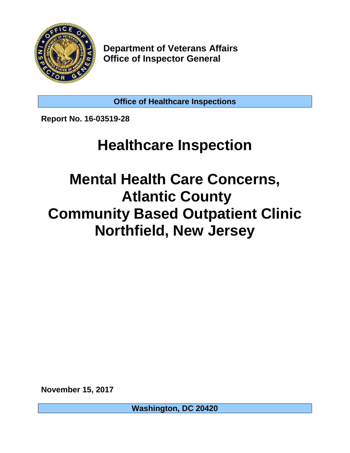

**Department of Veterans Affairs Office of Inspector General** 

**Office of Healthcare Inspections**

**Report No. 16-03519-28** 

# **Healthcare Inspection**

# **Mental Health Care Concerns, Northfield, New Jersey Atlantic County Community Based Outpatient Clinic**

**November 15, 2017**

**Washington, DC 20420**

**STATE OF STATE OF STATE OF STATE OF STATE OF STATE OF STATE OF STATE OF STATE OF STATE OF STATE OF STATE OF S**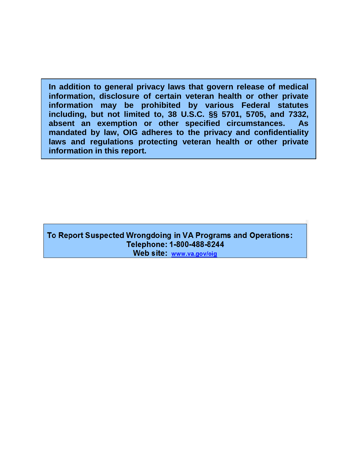**absent an exemption or other specified circumstances. As In addition to general privacy laws that govern release of medical information, disclosure of certain veteran health or other private information may be prohibited by various Federal statutes including, but not limited to, 38 U.S.C. §§ 5701, 5705, and 7332, mandated by law, OIG adheres to the privacy and confidentiality laws and regulations protecting veteran health or other private information in this report.** 

To Report Suspected Wrongdoing in VA Programs and Operations: Telephone: 1-800-488-8244 Web site: www.va.gov/oig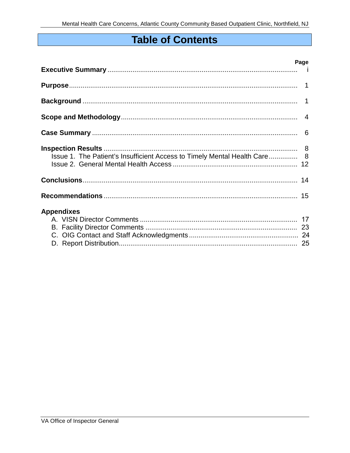## **Table of Contents**

|                                                                           | Page |
|---------------------------------------------------------------------------|------|
|                                                                           |      |
|                                                                           |      |
|                                                                           |      |
|                                                                           |      |
| Issue 1. The Patient's Insufficient Access to Timely Mental Health Care 8 |      |
|                                                                           |      |
|                                                                           |      |
| <b>Appendixes</b>                                                         |      |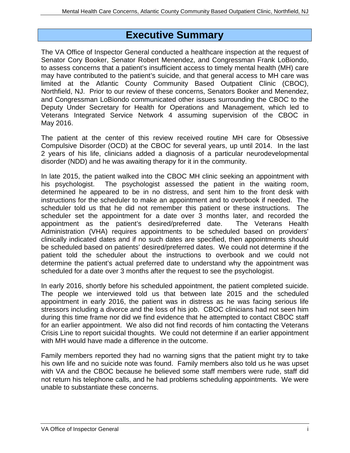### **Executive Summary**

 to assess concerns that a patient's insufficient access to timely mental health (MH) care Northfield, NJ. Prior to our review of these concerns, Senators Booker and Menendez, Deputy Under Secretary for Health for Operations and Management, which led to May 2016. The VA Office of Inspector General conducted a healthcare inspection at the request of Senator Cory Booker, Senator Robert Menendez, and Congressman Frank LoBiondo, may have contributed to the patient's suicide, and that general access to MH care was limited at the Atlantic County Community Based Outpatient Clinic (CBOC), and Congressman LoBiondo communicated other issues surrounding the CBOC to the Veterans Integrated Service Network 4 assuming supervision of the CBOC in

May 2016.<br>The patient at the center of this review received routine MH care for Obsessive Compulsive Disorder (OCD) at the CBOC for several years, up until 2014. In the last disorder (NDD) and he was awaiting therapy for it in the community. 2 years of his life, clinicians added a diagnosis of a particular neurodevelopmental

 instructions for the scheduler to make an appointment and to overbook if needed. The scheduler told us that he did not remember this patient or these instructions. The scheduler set the appointment for a date over 3 months later, and recorded the be scheduled based on patients' desired/preferred dates. We could not determine if the scheduled for a date over 3 months after the request to see the psychologist. In late 2015, the patient walked into the CBOC MH clinic seeking an appointment with his psychologist. The psychologist assessed the patient in the waiting room, determined he appeared to be in no distress, and sent him to the front desk with appointment as the patient's desired/preferred date. The Veterans Health Administration (VHA) requires appointments to be scheduled based on providers' clinically indicated dates and if no such dates are specified, then appointments should patient told the scheduler about the instructions to overbook and we could not determine the patient's actual preferred date to understand why the appointment was

 In early 2016, shortly before his scheduled appointment, the patient completed suicide. appointment in early 2016, the patient was in distress as he was facing serious life stressors including a divorce and the loss of his job. CBOC clinicians had not seen him for an earlier appointment. We also did not find records of him contacting the Veterans The people we interviewed told us that between late 2015 and the scheduled during this time frame nor did we find evidence that he attempted to contact CBOC staff Crisis Line to report suicidal thoughts. We could not determine if an earlier appointment with MH would have made a difference in the outcome.

 his own life and no suicide note was found. Family members also told us he was upset with VA and the CBOC because he believed some staff members were rude, staff did Family members reported they had no warning signs that the patient might try to take not return his telephone calls, and he had problems scheduling appointments. We were unable to substantiate these concerns.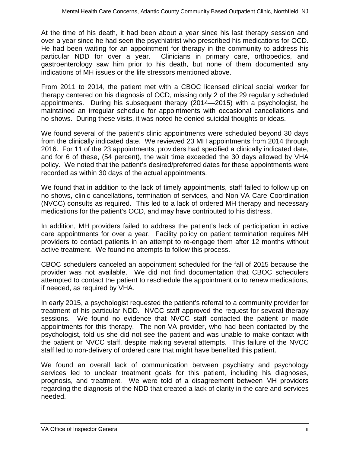At the time of his death, it had been about a year since his last therapy session and over a year since he had seen the psychiatrist who prescribed his medications for OCD. He had been waiting for an appointment for therapy in the community to address his particular NDD for over a year. Clinicians in primary care, orthopedics, and gastroenterology saw him prior to his death, but none of them documented any indications of MH issues or the life stressors mentioned above.

 appointments. During his subsequent therapy (2014—2015) with a psychologist, he no-shows. During these visits, it was noted he denied suicidal thoughts or ideas. From 2011 to 2014, the patient met with a CBOC licensed clinical social worker for therapy centered on his diagnosis of OCD, missing only 2 of the 29 regularly scheduled maintained an irregular schedule for appointments with occasional cancellations and

 from the clinically indicated date. We reviewed 23 MH appointments from 2014 through policy. We noted that the patient's desired/preferred dates for these appointments were We found several of the patient's clinic appointments were scheduled beyond 30 days 2016. For 11 of the 23 appointments, providers had specified a clinically indicated date, and for 6 of these, (54 percent), the wait time exceeded the 30 days allowed by VHA recorded as within 30 days of the actual appointments.

 We found that in addition to the lack of timely appointments, staff failed to follow up on (NVCC) consults as required. This led to a lack of ordered MH therapy and necessary medications for the patient's OCD, and may have contributed to his distress. no-shows, clinic cancellations, termination of services, and Non-VA Care Coordination

medications for the patient's OCD, and may have contributed to his distress.<br>In addition, MH providers failed to address the patient's lack of participation in active care appointments for over a year. Facility policy on patient termination requires MH providers to contact patients in an attempt to re-engage them after 12 months without active treatment. We found no attempts to follow this process.

 provider was not available. We did not find documentation that CBOC schedulers CBOC schedulers canceled an appointment scheduled for the fall of 2015 because the attempted to contact the patient to reschedule the appointment or to renew medications, if needed, as required by VHA.

 treatment of his particular NDD. NVCC staff approved the request for several therapy sessions. We found no evidence that NVCC staff contacted the patient or made appointments for this therapy. The non-VA provider, who had been contacted by the psychologist, told us she did not see the patient and was unable to make contact with the patient or NVCC staff, despite making several attempts. This failure of the NVCC staff led to non-delivery of ordered care that might have benefited this patient. In early 2015, a psychologist requested the patient's referral to a community provider for

We found an overall lack of communication between psychiatry and psychology services led to unclear treatment goals for this patient, including his diagnoses, prognosis, and treatment. We were told of a disagreement between MH providers regarding the diagnosis of the NDD that created a lack of clarity in the care and services needed.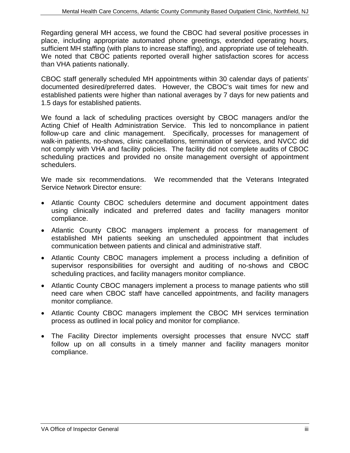We noted that CBOC patients reported overall higher satisfaction scores for access than VHA patients nationally. Regarding general MH access, we found the CBOC had several positive processes in place, including appropriate automated phone greetings, extended operating hours, sufficient MH staffing (with plans to increase staffing), and appropriate use of telehealth.

 documented desired/preferred dates. However, the CBOC's wait times for new and established patients were higher than national averages by 7 days for new patients and 1.5 days for established patients. CBOC staff generally scheduled MH appointments within 30 calendar days of patients'

 Acting Chief of Health Administration Service. This led to noncompliance in patient walk-in patients, no-shows, clinic cancellations, termination of services, and NVCC did not comply with VHA and facility policies. The facility did not complete audits of CBOC We found a lack of scheduling practices oversight by CBOC managers and/or the follow-up care and clinic management. Specifically, processes for management of scheduling practices and provided no onsite management oversight of appointment schedulers.

 We made six recommendations. We recommended that the Veterans Integrated Service Network Director ensure:

- Atlantic County CBOC schedulers determine and document appointment dates using clinically indicated and preferred dates and facility managers monitor compliance.
- Atlantic County CBOC managers implement a process for management of established MH patients seeking an unscheduled appointment that includes communication between patients and clinical and administrative staff.
- supervisor responsibilities for oversight and auditing of no-shows and CBOC scheduling practices, and facility managers monitor compliance. • Atlantic County CBOC managers implement a process including a definition of
- Atlantic County CBOC managers implement a process to manage patients who still need care when CBOC staff have cancelled appointments, and facility managers monitor compliance.
- Atlantic County CBOC managers implement the CBOC MH services termination process as outlined in local policy and monitor for compliance.
- follow up on all consults in a timely manner and facility managers monitor • The Facility Director implements oversight processes that ensure NVCC staff compliance.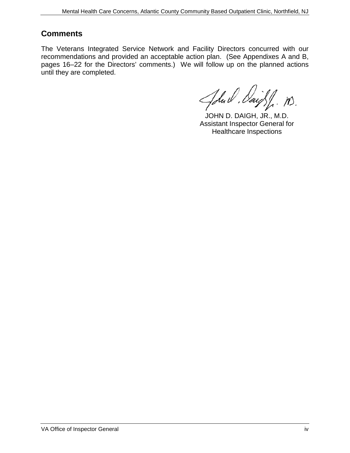### **Comments**

 recommendations and provided an acceptable action plan. (See Appendixes A and B, pages 16–22 for the Directors' comments.) We will follow up on the planned actions until they are completed. The Veterans Integrated Service Network and Facility Directors concurred with our

John U. Daigh, M.

Assistant Inspector General for Healthcare Inspections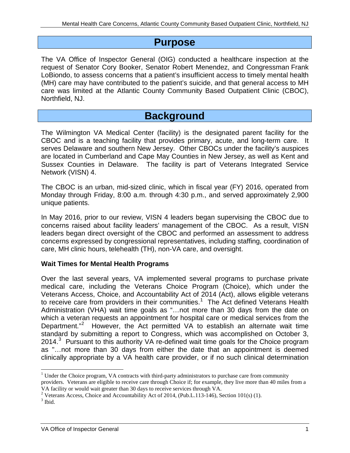### **Purpose**

 The VA Office of Inspector General (OIG) conducted a healthcare inspection at the request of Senator Cory Booker, Senator Robert Menendez, and Congressman Frank LoBiondo, to assess concerns that a patient's insufficient access to timely mental health (MH) care may have contributed to the patient's suicide, and that general access to MH care was limited at the Atlantic County Community Based Outpatient Clinic (CBOC), Northfield, NJ.

## **Background**

 CBOC and is a teaching facility that provides primary, acute, and long-term care. It serves Delaware and southern New Jersey. Other CBOCs under the facility's auspices Network (VISN) 4. The Wilmington VA Medical Center (facility) is the designated parent facility for the are located in Cumberland and Cape May Counties in New Jersey, as well as Kent and Sussex Counties in Delaware. The facility is part of Veterans Integrated Service

 The CBOC is an urban, mid-sized clinic, which in fiscal year (FY) 2016, operated from unique patients. Monday through Friday, 8:00 a.m. through 4:30 p.m., and served approximately 2,900

unique patients.<br>In May 2016, prior to our review, VISN 4 leaders began supervising the CBOC due to concerns raised about facility leaders' management of the CBOC. As a result, VISN leaders began direct oversight of the CBOC and performed an assessment to address concerns expressed by congressional representatives, including staffing, coordination of care, MH clinic hours, telehealth (TH), non-VA care, and oversight.

#### **Wait Times for Mental Health Programs**

 Veterans Access, Choice, and Accountability Act of 2014 (Act), allows eligible veterans to receive care from providers in their communities.<sup>1</sup> The Act defined Veterans Health Administration (VHA) wait time goals as "…not more than 30 days from the date on Department."<sup>[2](#page-7-1)</sup> However, the Act permitted VA to establish an alternate wait time standard by submitting a report to Congress, which was accomplished on October 3, 2014. $3$  Pursuant to this authority VA re-defined wait time goals for the Choice program as "…not more than 30 days from either the date that an appointment is deemed Over the last several years, VA implemented several programs to purchase private medical care, including the Veterans Choice Program (Choice), which under the which a veteran requests an appointment for hospital care or medical services from the clinically appropriate by a VA health care provider, or if no such clinical determination

<span id="page-7-0"></span>VA facility or would wait greater than 30 days to receive services through VA. <sup>1</sup> Under the Choice program, VA contracts with third-party administrators to purchase care from community providers. Veterans are eligible to receive care through Choice if; for example, they live more than 40 miles from a

<span id="page-7-1"></span>VA facility or would wait greater than 30 days to receive services through VA.<br><sup>2</sup> Veterans Access, Choice and Accountability Act of 2014, (Pub.L.113-146), Section 101(s) (1). <sup>2</sup> Veterans Access, Choice and Accountability Act of 2014, (Pub.L.113-146), Section 101(s) (1).<br><sup>3</sup> Ibid.

<span id="page-7-2"></span>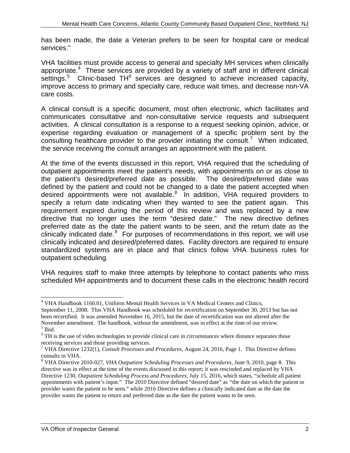services." has been made, the date a Veteran prefers to be seen for hospital care or medical

appropriate. $4$  These services are provided by a variety of staff and in different clinical settings.<sup>5</sup> Clinic-based TH<sup>6</sup> services are designed to achieve increased capacity, care costs. VHA facilities must provide access to general and specialty MH services when clinically improve access to primary and specialty care, reduce wait times, and decrease non-VA

consulting healthcare provider to the provider initiating the consult.<sup>[7](#page-8-3)</sup> When indicated, A clinical consult is a specific document, most often electronic, which facilitates and communicates consultative and non-consultative service requests and subsequent activities. A clinical consultation is a response to a request seeking opinion, advice, or expertise regarding evaluation or management of a specific problem sent by the the service receiving the consult arranges an appointment with the patient.

 At the time of the events discussed in this report, VHA required that the scheduling of the patient's desired/preferred date as possible. The desired/preferred date was defined by the patient and could not be changed to a date the patient accepted when specify a return date indicating when they wanted to see the patient again. This directive that no longer uses the term "desired date." The new directive defines clinically indicated date.<sup>[9](#page-8-5)</sup> For purposes of recommendations in this report, we will use standardized systems are in place and that clinics follow VHA business rules for outpatient scheduling. outpatient appointments meet the patient's needs, with appointments on or as close to desired appointments were not available.<sup>8</sup> In addition, VHA required providers to requirement expired during the period of this review and was replaced by a new preferred date as the date the patient wants to be seen, and the return date as the clinically indicated and desired/preferred dates. Facility directors are required to ensure

VHA requires staff to make three attempts by telephone to contact patients who miss scheduled MH appointments and to document these calls in the electronic health record

 $\overline{a}$ <sup>4</sup> VHA Handbook 1160.01, Uniform Mental Health Services in VA Medical Centers and Clinics,

<span id="page-8-0"></span> September 11, 2008. This VHA Handbook was scheduled for recertification on September 30, 2013 but has not been recertified. It was amended November 16, 2015, but the date of recertification was not altered after the  $<sup>5</sup>$  Ibid.</sup> November amendment. The handbook, without the amendment, was in effect at the time of our review.

<span id="page-8-2"></span><span id="page-8-1"></span> receiving services and those providing services. <sup>6</sup> TH is the use of video technologies to provide clinical care in circumstances where distance separates those

<span id="page-8-3"></span> 7 VHA Directive 1232(1), *Consult Processes and Procedures,* August 24, 2016, Page 1. This Directive defines consults in VHA.

<span id="page-8-5"></span><span id="page-8-4"></span> 8 VHA Directive 2010-027, *VHA Outpatient Scheduling Processes and Procedures*, June 9, 2010, page 8. This directive was in effect at the time of the events discussed in this report; it was rescinded and replaced by VHA Directive 1230*, Outpatient Scheduling Process and Procedures*, July 15, 2016, which states, "schedule all patient appointments with patient's input." The 2010 Directive defined "desired date" as *"*the date on which the patient or provider wants the patient to be seen." while 2016 Directive defines a clinically indicated date as the date the provider wants the patient to return and preferred date as the date the patient wants to be seen.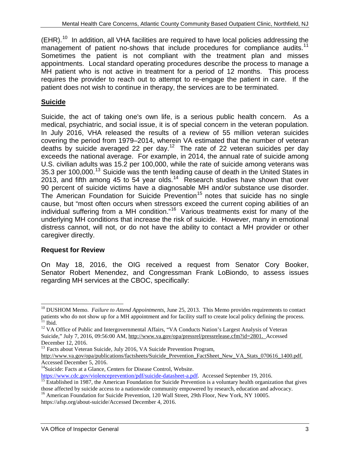$(EHR).<sup>10</sup>$  $(EHR).<sup>10</sup>$  $(EHR).<sup>10</sup>$  In addition, all VHA facilities are required to have local policies addressing the management of patient no-shows that include procedures for compliance audits.<sup>11</sup> appointments. Local standard operating procedures describe the process to manage a MH patient who is not active in treatment for a period of 12 months. This process Sometimes the patient is not compliant with the treatment plan and misses requires the provider to reach out to attempt to re-engage the patient in care. If the patient does not wish to continue in therapy, the services are to be terminated.

#### **Suicide**

 Suicide, the act of taking one's own life, is a serious public health concern. As a medical, psychiatric, and social issue, it is of special concern in the veteran population. deaths by suicide averaged 22 per day.<sup>12</sup> The rate of 22 veteran suicides per day 90 percent of suicide victims have a diagnosable MH and/or substance use disorder. The American Foundation for Suicide Prevention<sup>15</sup> notes that suicide has no single individual suffering from a MH condition."<sup>[16](#page-9-6)</sup> Various treatments exist for many of the underlying MH conditions that increase the risk of suicide. However, many in emotional caregiver directly. In July 2016, VHA released the results of a review of 55 million veteran suicides covering the period from 1979–2014, wherein VA estimated that the number of veteran exceeds the national average. For example, in 2014, the annual rate of suicide among U.S. civilian adults was 15.2 per 100,000, while the rate of suicide among veterans was 35.3 per 100,000.<sup>13</sup> Suicide was the tenth leading cause of death in the United States in 2013, and fifth among 45 to 54 year olds.<sup>[14](#page-9-4)</sup> Research studies have shown that over cause, but "most often occurs when stressors exceed the current coping abilities of an distress cannot, will not, or do not have the ability to contact a MH provider or other

#### **Request for Review**

 $\overline{a}$ 

 Senator Robert Menendez, and Congressman Frank LoBiondo, to assess issues On May 18, 2016, the OIG received a request from Senator Cory Booker, regarding MH services at the CBOC, specifically:

<span id="page-9-0"></span><sup>&</sup>lt;sup>10</sup> DUSHOM Memo. *Failure to Attend Appointments*, June 25, 2013. This Memo provides requirements to contact patients who do not show up for a MH appointment and for facility staff to create local policy defining the process.  $11$  Ibid.

<span id="page-9-2"></span><span id="page-9-1"></span><sup>&</sup>lt;sup>11</sup> Ibid.<br><sup>12</sup> VA Office of Public and Intergovernmental Affairs, "VA Conducts Nation's Largest Analysis of Veteran Suicide," July 7, 2016, 09:56:00 AM, [http://www.va.gov/opa/pressrel/pressrelease.cfm?id=2801. A](http://www.va.gov/opa/pressrel/pressrelease.cfm?id=2801)ccessed December 12, 2016.

<sup>&</sup>lt;sup>13</sup> Facts about Veteran Suicide, July 2016, VA Suicide Prevention Program,

<span id="page-9-3"></span>[http://www.va.gov/opa/publications/factsheets/Suicide\\_Prevention\\_FactSheet\\_New\\_VA\\_Stats\\_070616\\_1400.pdf.](http://www.va.gov/opa/publications/factsheets/Suicide_Prevention_FactSheet_New_VA_Stats_070616_1400.pdf) Accessed December 5, 2016.

<span id="page-9-4"></span><sup>&</sup>lt;sup>14</sup>Suicide: Facts at a Glance, Centers for Disease Control, Website.

[https://www.cdc.gov/violenceprevention/pdf/suicide-datasheet-a.pdf.](https://www.cdc.gov/violenceprevention/pdf/suicide-datasheet-a.pdf) Accessed September 19, 2016.

<span id="page-9-5"></span>https://www.cdc.gov/violenceprevention/pdf/suicide-datasheet-a.pdf. Accessed September 19, 2016.<br><sup>15</sup> Established in 1987, the American Foundation for Suicide Prevention is a voluntary health organization that gives those affected by suicide access to a nationwide community empowered by research, education and advocacy.

<span id="page-9-6"></span><sup>&</sup>lt;sup>16</sup> American Foundation for Suicide Prevention, 120 Wall Street, 29th Floor, New York, NY 10005. [https://afsp.org/about-suicide/Accessed D](https://afsp.org/about-suicide/Accessed)ecember 4, 2016.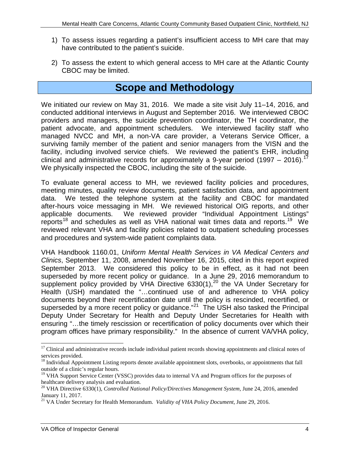- 1) To assess issues regarding a patient's insufficient access to MH care that may have contributed to the patient's suicide.
- 2) To assess the extent to which general access to MH care at the Atlantic County CBOC may be limited.

## **Scope and Methodology**

 We initiated our review on May 31, 2016. We made a site visit July 11–14, 2016, and conducted additional interviews in August and September 2016. We interviewed CBOC providers and managers, the suicide prevention coordinator, the TH coordinator, the patient advocate, and appointment schedulers. We interviewed facility staff who surviving family member of the patient and senior managers from the VISN and the facility, including involved service chiefs. We reviewed the patient's EHR, including clinical and administrative records for approximately a 9-year period (1997 – 2016).<sup>17</sup> managed NVCC and MH, a non-VA care provider, a Veterans Service Officer, a We physically inspected the CBOC, including the site of the suicide.

 To evaluate general access to MH, we reviewed facility policies and procedures, data. We tested the telephone system at the facility and CBOC for mandated after-hours voice messaging in MH. We reviewed historical OIG reports, and other applicable documents. We reviewed provider "Individual Appointment Listings" reports<sup>18</sup> and schedules as well as VHA national wait times data and reports.<sup>19</sup> We reviewed relevant VHA and facility policies related to outpatient scheduling processes and procedures and system-wide patient complaints data. meeting minutes, quality review documents, patient satisfaction data, and appointment

 September 2013. We considered this policy to be in effect, as it had not been superseded by more recent policy or guidance. In a June 29, 2016 memorandum to Health (USH) mandated the "…continued use of and adherence to VHA policy superseded by a more recent policy or guidance."<sup>21</sup> The USH also tasked the Principal program offices have primary responsibility." In the absence of current VA/VHA policy, VHA Handbook 1160.01, *Uniform Mental Health Services in VA Medical Centers and Clinics*, September 11, 2008, amended November 16, 2015, cited in this report expired supplement policy provided by VHA Directive  $6330(1)$ ,<sup>20</sup> the VA Under Secretary for documents beyond their recertification date until the policy is rescinded, recertified, or Deputy Under Secretary for Health and Deputy Under Secretaries for Health with ensuring "…the timely rescission or recertification of policy documents over which their

<span id="page-10-0"></span><sup>&</sup>lt;sup>17</sup> Clinical and administrative records include individual patient records showing appointments and clinical notes of services provided.

<span id="page-10-1"></span><sup>&</sup>lt;sup>18</sup> Individual Appointment Listing reports denote available appointment slots, overbooks, or appointments that fall outside of a clinic's regular hours.

<span id="page-10-2"></span><sup>&</sup>lt;sup>19</sup> VHA Support Service Center (VSSC) provides data to internal VA and Program offices for the purposes of healthcare delivery analysis and evaluation.

<span id="page-10-3"></span><sup>&</sup>lt;sup>20</sup> VHA Directive 6330(1), *Controlled National Policy/Directives Management System*, June 24, 2016, amended

<span id="page-10-4"></span>January 11, 2017.<br><sup>21</sup> VA Under Secretary for Health Memorandum. *Validity of VHA Policy Document,* June 29, 2016.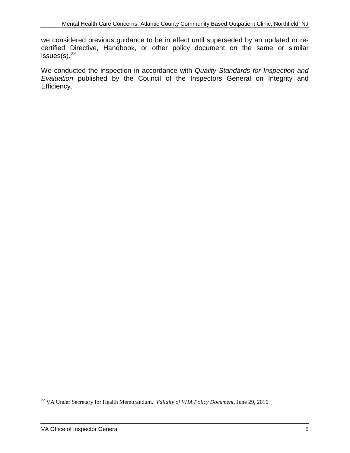we considered previous guidance to be in effect until superseded by an updated or recertified Directive, Handbook, or other policy document on the same or similar  $issues(s).$ <sup>22</sup>

We conducted the inspection in accordance with *Quality Standards for Inspection and Evaluation* published by the Council of the Inspectors General on Integrity and Efficiency.

<span id="page-11-0"></span> 22 VA Under Secretary for Health Memorandum. *Validity of VHA Policy Document,* June 29, 2016.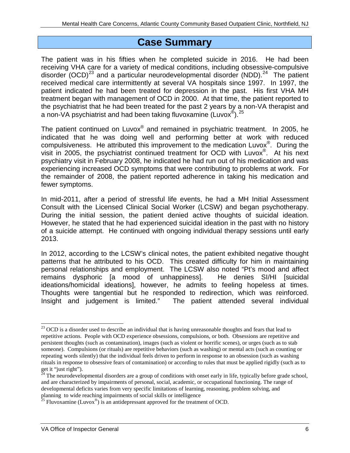## **Case Summary**

 The patient was in his fifties when he completed suicide in 2016. He had been disorder (OCD)<sup>[23](#page-12-0)</sup> and a particular neurodevelopmental disorder (NDD).<sup>24</sup> The patient received medical care intermittently at several VA hospitals since 1997. In 1997, the patient indicated he had been treated for depression in the past. His first VHA MH treatment began with management of OCD in 2000. At that time, the patient reported to a non-VA psychiatrist and had been taking fluvoxamine (Luvox $^{\circledR}$ ).<sup>25</sup> receiving VHA care for a variety of medical conditions, including obsessive-compulsive the psychiatrist that he had been treated for the past 2 years by a non-VA therapist and

visit in 2005, the psychiatrist continued treatment for OCD with Luvox $^{\circledast}$ . At his next experiencing increased OCD symptoms that were contributing to problems at work. For the remainder of 2008, the patient reported adherence in taking his medication and The patient continued on Luvox<sup>®</sup> and remained in psychiatric treatment. In 2005, he indicated that he was doing well and performing better at work with reduced compulsiveness. He attributed this improvement to the medication Luvox®. During the psychiatry visit in February 2008, he indicated he had run out of his medication and was fewer symptoms.

 In mid-2011, after a period of stressful life events, he had a MH Initial Assessment of a suicide attempt. He continued with ongoing individual therapy sessions until early Consult with the Licensed Clinical Social Worker (LCSW) and began psychotherapy. During the initial session, the patient denied active thoughts of suicidal ideation. However, he stated that he had experienced suicidal ideation in the past with no history 2013.

 In 2012, according to the LCSW's clinical notes, the patient exhibited negative thought personal relationships and employment. The LCSW also noted "Pt's mood and affect ideations/homicidal ideations], however, he admits to feeling hopeless at times. Thoughts were tangential but he responded to redirection, which was reinforced. Thoughts were tangential but he responded to redirection, which was reinforced.<br>Insight and judgement is limited." The patient attended several individual patterns that he attributed to his OCD. This created difficulty for him in maintaining remains dysphoric [a mood of unhappiness]. He denies SI/HI [suicidal

<span id="page-12-0"></span> $23$  OCD is a disorder used to describe an individual that is having unreasonable thoughts and fears that lead to persistent thoughts (such as contamination), images (such as violent or horrific scenes), or urges (such as to stab someone). Compulsions (or rituals) are repetitive behaviors (such as washing) or mental acts (such as counting or get it "just right"). repetitive actions. People with OCD experience obsessions, compulsions, or both. Obsessions are repetitive and repeating words silently) that the individual feels driven to perform in response to an obsession (such as washing rituals in response to obsessive fears of contamination) or according to rules that must be applied rigidly (such as to

<span id="page-12-1"></span> $^{24}$  The neurodevelopmental disorders are a group of conditions with onset early in life, typically before grade school, and are characterized by impairments of personal, social, academic, or occupational functioning. The range of developmental deficits varies from very specific limitations of learning, reasoning, problem solving, and planning to wide reaching impairments of social skills or intelligence <sup>25</sup> Fluvoxamine (Luvox<sup>®</sup>) is an antidepressant approved for the treatment of OCD.

<span id="page-12-2"></span>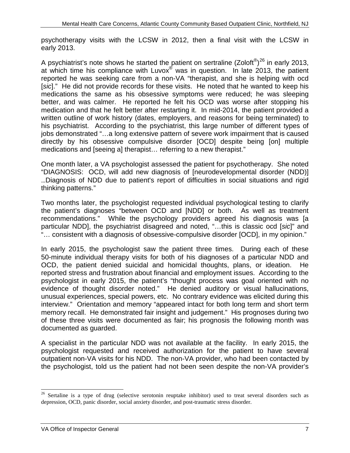psychotherapy visits with the LCSW in 2012, then a final visit with the LCSW in early 2013.

 reported he was seeking care from a non-VA "therapist, and she is helping with ocd [*sic*]." He did not provide records for these visits. He noted that he wanted to keep his better, and was calmer. He reported he felt his OCD was worse after stopping his medication and that he felt better after restarting it. In mid-2014, the patient provided a his psychiatrist. According to the psychiatrist, this large number of different types of medications and [seeing a] therapist… referring to a new therapist." early 2013.<br>A psychiatrist's note shows he started the patient on sertraline (Zoloft<sup>®</sup>)<sup>[26](#page-13-0)</sup> in early 2013, at which time his compliance with Luvox $^{\circledast}$  was in question. In late 2013, the patient medications the same as his obsessive symptoms were reduced; he was sleeping written outline of work history (dates, employers, and reasons for being terminated) to jobs demonstrated "…a long extensive pattern of severe work impairment that is caused directly by his obsessive compulsive disorder [OCD] despite being [on] multiple

 One month later, a VA psychologist assessed the patient for psychotherapy. She noted "DIAGNOSIS: OCD, will add new diagnosis of [neurodevelopmental disorder (NDD)] …Diagnosis of NDD due to patient's report of difficulties in social situations and rigid thinking patterns."

 Two months later, the psychologist requested individual psychological testing to clarify the patient's diagnoses "between OCD and [NDD] or both. As well as treatment recommendations." While the psychology providers agreed his diagnosis was [a particular NDD], the psychiatrist disagreed and noted, "…this is classic ocd [*sic*]" and "… consistent with a diagnosis of obsessive-compulsive disorder [OCD], in my opinion."

 In early 2015, the psychologist saw the patient three times. During each of these evidence of thought disorder noted." He denied auditory or visual hallucinations, interview." Orientation and memory "appeared intact for both long term and short term 50-minute individual therapy visits for both of his diagnoses of a particular NDD and OCD, the patient denied suicidal and homicidal thoughts, plans, or ideation. He reported stress and frustration about financial and employment issues. According to the psychologist in early 2015, the patient's "thought process was goal oriented with no unusual experiences, special powers, etc. No contrary evidence was elicited during this memory recall. He demonstrated fair insight and judgement." His prognoses during two of these three visits were documented as fair; his prognosis the following month was documented as guarded.

 A specialist in the particular NDD was not available at the facility. In early 2015, the outpatient non-VA visits for his NDD. The non-VA provider, who had been contacted by the psychologist, told us the patient had not been seen despite the non-VA provider's psychologist requested and received authorization for the patient to have several

<span id="page-13-0"></span><sup>&</sup>lt;sup>26</sup> Sertaline is a type of drug (selective serotonin reuptake inhibitor) used to treat several disorders such as depression, OCD, panic disorder, social anxiety disorder, and post-traumatic stress disorder.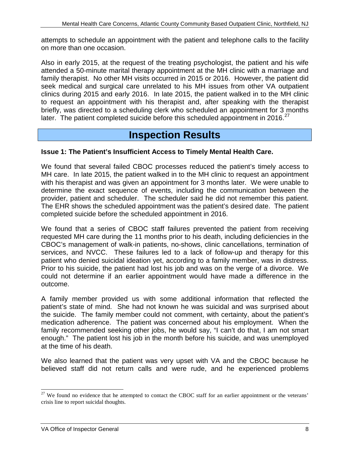attempts to schedule an appointment with the patient and telephone calls to the facility on more than one occasion.

 attended a 50-minute marital therapy appointment at the MH clinic with a marriage and family therapist. No other MH visits occurred in 2015 or 2016. However, the patient did seek medical and surgical care unrelated to his MH issues from other VA outpatient clinics during 2015 and early 2016. In late 2015, the patient walked in to the MH clinic to request an appointment with his therapist and, after speaking with the therapist briefly, was directed to a scheduling clerk who scheduled an appointment for 3 months Also in early 2015, at the request of the treating psychologist, the patient and his wife later. The patient completed suicide before this scheduled appointment in 2016. $^{27}$ 

## **Inspection Results**

#### **Issue 1: The Patient's Insufficient Access to Timely Mental Health Care.**

 MH care. In late 2015, the patient walked in to the MH clinic to request an appointment with his therapist and was given an appointment for 3 months later. We were unable to provider, patient and scheduler. The scheduler said he did not remember this patient. provider, patient and scheduler. The scheduler said he did not remember this patient.<br>The EHR shows the scheduled appointment was the patient's desired date. The patient completed suicide before the scheduled appointment in 2016. We found that several failed CBOC processes reduced the patient's timely access to determine the exact sequence of events, including the communication between the

 services, and NVCC. These failures led to a lack of follow-up and therapy for this Prior to his suicide, the patient had lost his job and was on the verge of a divorce. We We found that a series of CBOC staff failures prevented the patient from receiving requested MH care during the 11 months prior to his death, including deficiencies in the CBOC's management of walk-in patients, no-shows, clinic cancellations, termination of patient who denied suicidal ideation yet, according to a family member, was in distress. could not determine if an earlier appointment would have made a difference in the outcome.

 patient's state of mind. She had not known he was suicidal and was surprised about the suicide. The family member could not comment, with certainty, about the patient's medication adherence. The patient was concerned about his employment. When the enough." The patient lost his job in the month before his suicide, and was unemployed at the time of his death. A family member provided us with some additional information that reflected the family recommended seeking other jobs, he would say, "I can't do that, I am not smart

 believed staff did not return calls and were rude, and he experienced problems We also learned that the patient was very upset with VA and the CBOC because he

<span id="page-14-0"></span> $27$  We found no evidence that he attempted to contact the CBOC staff for an earlier appointment or the veterans' crisis line to report suicidal thoughts.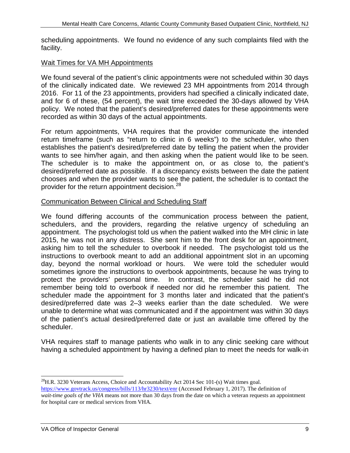scheduling appointments. We found no evidence of any such complaints filed with the facility.

#### Wait Times for VA MH Appointments

 We found several of the patient's clinic appointments were not scheduled within 30 days 2016. For 11 of the 23 appointments, providers had specified a clinically indicated date, and for 6 of these, (54 percent), the wait time exceeded the 30-days allowed by VHA recorded as within 30 days of the actual appointments. of the clinically indicated date. We reviewed 23 MH appointments from 2014 through policy. We noted that the patient's desired/preferred dates for these appointments were

wants to see him/her again, and then asking when the patient would like to be seen. chooses and when the provider wants to see the patient, the scheduler is to contact the provider for the return appointment decision. $^{28}$ For return appointments, VHA requires that the provider communicate the intended return timeframe (such as "return to clinic in 6 weeks") to the scheduler, who then establishes the patient's desired/preferred date by telling the patient when the provider The scheduler is to make the appointment on, or as close to, the patient's desired/preferred date as possible. If a discrepancy exists between the date the patient

#### Communication Between Clinical and Scheduling Staff

 We found differing accounts of the communication process between the patient, appointment. The psychologist told us when the patient walked into the MH clinic in late 2015, he was not in any distress. She sent him to the front desk for an appointment, asking him to tell the scheduler to overbook if needed. The psychologist told us the day, beyond the normal workload or hours. We were told the scheduler would protect the providers' personal time. In contrast, the scheduler said he did not remember being told to overbook if needed nor did he remember this patient. The scheduler made the appointment for 3 months later and indicated that the patient's desired/preferred date was 2–3 weeks earlier than the date scheduled. We were scheduler. schedulers, and the providers, regarding the relative urgency of scheduling an instructions to overbook meant to add an additional appointment slot in an upcoming sometimes ignore the instructions to overbook appointments, because he was trying to unable to determine what was communicated and if the appointment was within 30 days of the patient's actual desired/preferred date or just an available time offered by the

VHA requires staff to manage patients who walk in to any clinic seeking care without having a scheduled appointment by having a defined plan to meet the needs for walk-in

<span id="page-15-0"></span> $\overline{a}$  $^{28}$ H.R. 3230 Veterans Access, Choice and Accountability Act 2014 Sec 101-(s) Wait times goal. [https://www.govtrack.us/congress/bills/113/hr3230/text/enr \(](https://www.govtrack.us/congress/bills/113/hr3230/text/enr)Accessed February 1, 2017). The definition of *wait-time goals of the VHA* means not more than 30 days from the date on which a veteran requests an appointment for hospital care or medical services from VHA.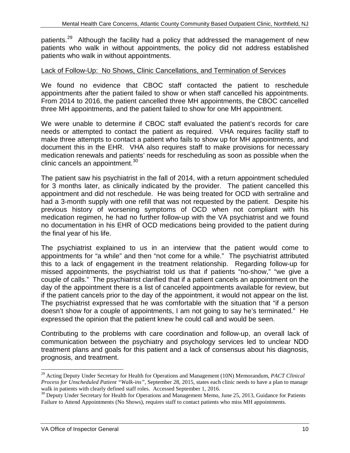patients.<sup>29</sup> Although the facility had a policy that addressed the management of new patients who walk in without appointments, the policy did not address established patients who walk in without appointments.

#### Lack of Follow-Up: No Shows, Clinic Cancellations, and Termination of Services

 We found no evidence that CBOC staff contacted the patient to reschedule appointments after the patient failed to show or when staff cancelled his appointments. From 2014 to 2016, the patient cancelled three MH appointments, the CBOC cancelled three MH appointments, and the patient failed to show for one MH appointment.

 needs or attempted to contact the patient as required. VHA requires facility staff to make three attempts to contact a patient who fails to show up for MH appointments, and document this in the EHR. VHA also requires staff to make provisions for necessary We were unable to determine if CBOC staff evaluated the patient's records for care medication renewals and patients' needs for rescheduling as soon as possible when the clinic cancels an appointment.<sup>30</sup>

 appointment and did not reschedule. He was being treated for OCD with sertraline and had a 3-month supply with one refill that was not requested by the patient. Despite his The patient saw his psychiatrist in the fall of 2014, with a return appointment scheduled for 3 months later, as clinically indicated by the provider. The patient cancelled this previous history of worsening symptoms of OCD when not compliant with his medication regimen, he had no further follow-up with the VA psychiatrist and we found no documentation in his EHR of OCD medications being provided to the patient during the final year of his life.

 this to a lack of engagement in the treatment relationship. Regarding follow-up for couple of calls." The psychiatrist clarified that if a patient cancels an appointment on the expressed the opinion that the patient knew he could call and would be seen. The psychiatrist explained to us in an interview that the patient would come to appointments for "a while" and then "not come for a while." The psychiatrist attributed missed appointments, the psychiatrist told us that if patients "no-show," "we give a day of the appointment there is a list of canceled appointments available for review, but if the patient cancels prior to the day of the appointment, it would not appear on the list. The psychiatrist expressed that he was comfortable with the situation that "if a person doesn't show for a couple of appointments, I am not going to say he's terminated." He

 Contributing to the problems with care coordination and follow-up, an overall lack of treatment plans and goals for this patient and a lack of consensus about his diagnosis, prognosis, and treatment. communication between the psychiatry and psychology services led to unclear NDD

<span id="page-16-0"></span> 29 Acting Deputy Under Secretary for Health for Operations and Management (10N) Memorandum, *PACT Clinical*  walk in patients with clearly defined staff roles. Accessed September 1, 2016. *Process for Unscheduled Patient "Walk-ins"*, September 28, 2015, states each clinic needs to have a plan to manage

<span id="page-16-1"></span> $30$  Deputy Under Secretary for Health for Operations and Management Memo, June 25, 2013, Guidance for Patients Failure to Attend Appointments (No Shows), requires staff to contact patients who miss MH appointments.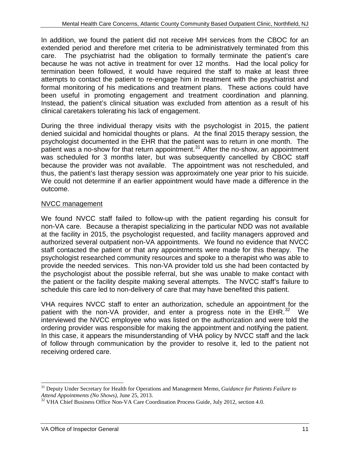extended period and therefore met criteria to be administratively terminated from this care. because he was not active in treatment for over 12 months. Had the local policy for attempts to contact the patient to re-engage him in treatment with the psychiatrist and formal monitoring of his medications and treatment plans. These actions could have clinical caretakers tolerating his lack of engagement. In addition, we found the patient did not receive MH services from the CBOC for an The psychiatrist had the obligation to formally terminate the patient's care termination been followed, it would have required the staff to make at least three been useful in promoting engagement and treatment coordination and planning. Instead, the patient's clinical situation was excluded from attention as a result of his

 denied suicidal and homicidal thoughts or plans. At the final 2015 therapy session, the patient was a no-show for that return appointment. $31$  After the no-show, an appointment was scheduled for 3 months later, but was subsequently cancelled by CBOC staff because the provider was not available. The appointment was not rescheduled, and We could not determine if an earlier appointment would have made a difference in the During the three individual therapy visits with the psychologist in 2015, the patient psychologist documented in the EHR that the patient was to return in one month. The thus, the patient's last therapy session was approximately one year prior to his suicide. outcome.

#### NVCC management

 non-VA care. Because a therapist specializing in the particular NDD was not available authorized several outpatient non-VA appointments. We found no evidence that NVCC staff contacted the patient or that any appointments were made for this therapy. The psychologist researched community resources and spoke to a therapist who was able to the psychologist about the possible referral, but she was unable to make contact with the patient or the facility despite making several attempts. The NVCC staff's failure to We found NVCC staff failed to follow-up with the patient regarding his consult for at the facility in 2015, the psychologist requested, and facility managers approved and provide the needed services. This non-VA provider told us she had been contacted by schedule this care led to non-delivery of care that may have benefited this patient.

 VHA requires NVCC staff to enter an authorization, schedule an appointment for the patient with the non-VA provider, and enter a progress note in the EHR. $^{32}$  We receiving ordered care. interviewed the NVCC employee who was listed on the authorization and were told the ordering provider was responsible for making the appointment and notifying the patient. In this case, it appears the misunderstanding of VHA policy by NVCC staff and the lack of follow through communication by the provider to resolve it, led to the patient not

<span id="page-17-0"></span> 31 Deputy Under Secretary for Health for Operations and Management Memo, *Guidance for Patients Failure to* 

<span id="page-17-1"></span>*Attend Appointments (No Shows),* June 25, 2013. 32 VHA Chief Business Office Non-VA Care Coordination Process Guide, July 2012, section 4.0.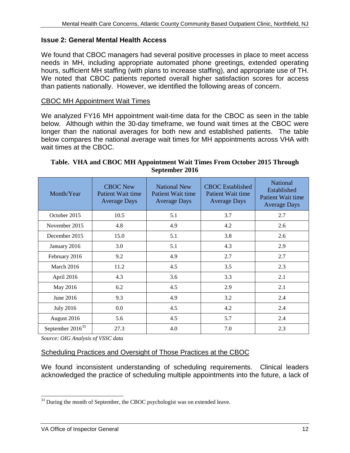#### **Issue 2: General Mental Health Access**

hours, sufficient MH staffing (with plans to increase staffing), and appropriate use of TH. hours, sufficient MH staffing (with plans to increase staffing), and appropriate use of TH.<br>We noted that CBOC patients reported overall higher satisfaction scores for access than patients nationally. However, we identified the following areas of concern. We found that CBOC managers had several positive processes in place to meet access needs in MH, including appropriate automated phone greetings, extended operating

#### **CBOC MH Appointment Wait Times**

 longer than the national averages for both new and established patients. The table We analyzed FY16 MH appointment wait-time data for the CBOC as seen in the table below. Although within the 30-day timeframe, we found wait times at the CBOC were below compares the national average wait times for MH appointments across VHA with wait times at the CBOC.

| Month/Year                   | <b>CBOC New</b><br>Patient Wait time<br><b>Average Days</b> | <b>National New</b><br>Patient Wait time<br><b>Average Days</b> | <b>CBOC</b> Established<br>Patient Wait time<br><b>Average Days</b> | <b>National</b><br>Established<br>Patient Wait time<br><b>Average Days</b> |
|------------------------------|-------------------------------------------------------------|-----------------------------------------------------------------|---------------------------------------------------------------------|----------------------------------------------------------------------------|
| October 2015                 | 10.5                                                        | 5.1                                                             | 3.7                                                                 | 2.7                                                                        |
| November 2015                | 4.8                                                         | 4.9                                                             | 4.2                                                                 | 2.6                                                                        |
| December 2015                | 15.0                                                        | 5.1                                                             | 3.8                                                                 | 2.6                                                                        |
| January 2016                 | 3.0                                                         | 5.1                                                             | 4.3                                                                 | 2.9                                                                        |
| February 2016                | 9.2                                                         | 4.9                                                             | 2.7                                                                 | 2.7                                                                        |
| March 2016                   | 11.2                                                        | 4.5                                                             | 3.5                                                                 | 2.3                                                                        |
| April 2016                   | 4.3                                                         | 3.6                                                             | 3.3                                                                 | 2.1                                                                        |
| May 2016                     | 6.2                                                         | 4.5                                                             | 2.9                                                                 | 2.1                                                                        |
| June 2016                    | 9.3                                                         | 4.9                                                             | 3.2                                                                 | 2.4                                                                        |
| <b>July 2016</b>             | 0.0                                                         | 4.5                                                             | 4.2                                                                 | 2.4                                                                        |
| August 2016                  | 5.6                                                         | 4.5                                                             | 5.7                                                                 | 2.4                                                                        |
| September 2016 <sup>33</sup> | 27.3                                                        | 4.0                                                             | 7.0                                                                 | 2.3                                                                        |

#### **Table. VHA and CBOC MH Appointment Wait Times From October 2015 Through September 2016**

*Source: OIG Analysis of VSSC data* 

#### Scheduling Practices and Oversight of Those Practices at the CBOC

 We found inconsistent understanding of scheduling requirements. Clinical leaders acknowledged the practice of scheduling multiple appointments into the future, a lack of

<span id="page-18-0"></span> $\overline{a}$  $33$  During the month of September, the CBOC psychologist was on extended leave.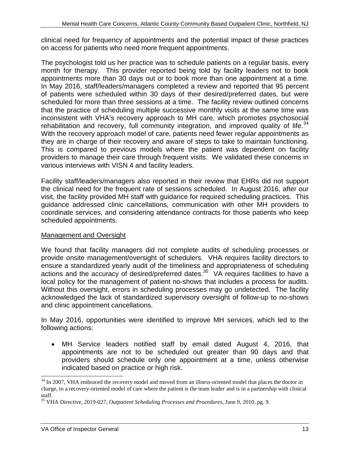on access for patients who need more frequent appointments. clinical need for frequency of appointments and the potential impact of these practices

 of patients were scheduled within 30 days of their desired/preferred dates, but were scheduled for more than three sessions at a time. The facility review outlined concerns they are in charge of their recovery and aware of steps to take to maintain functioning. providers to manage their care through frequent visits. We validated these concerns in various interviews with VISN 4 and facility leaders. The psychologist told us her practice was to schedule patients on a regular basis, every month for therapy. This provider reported being told by facility leaders not to book appointments more than 30 days out or to book more than one appointment at a time. In May 2016, staff/leaders/managers completed a review and reported that 95 percent that the practice of scheduling multiple successive monthly visits at the same time was inconsistent with VHA's recovery approach to MH care, which promotes psychosocial rehabilitation and recovery, full community integration, and improved quality of life. $34$ With the recovery approach model of care, patients need fewer regular appointments as This is compared to previous models where the patient was dependent on facility

 visit, the facility provided MH staff with guidance for required scheduling practices. This coordinate services, and considering attendance contracts for those patients who keep Facility staff/leaders/managers also reported in their review that EHRs did not support the clinical need for the frequent rate of sessions scheduled. In August 2016, after our guidance addressed clinic cancellations, communication with other MH providers to scheduled appointments.

#### Management and Oversight

 provide onsite management/oversight of schedulers. VHA requires facility directors to actions and the accuracy of desired/preferred dates.<sup>35</sup> VA requires facilities to have a Without this oversight, errors in scheduling processes may go undetected. The facility and clinic appointment cancellations. We found that facility managers did not complete audits of scheduling processes or ensure a standardized yearly audit of the timeliness and appropriateness of scheduling local policy for the management of patient no-shows that includes a process for audits. acknowledged the lack of standardized supervisory oversight of follow-up to no-shows

and clinic appointment cancellations.<br>In May 2016, opportunities were identified to improve MH services, which led to the following actions:

 appointments are not to be scheduled out greater than 90 days and that • MH Service leaders notified staff by email dated August 4, 2016, that providers should schedule only one appointment at a time, unless otherwise indicated based on practice or high risk.

<span id="page-19-0"></span> charge, to a recovery-oriented model of care where the patient is the team leader and is in a partnership with clinical <sup>34</sup> In 2007, VHA embraced the recovery model and moved from an illness-oriented model that places the doctor in staff.

<span id="page-19-1"></span>35 VHA Directive, 2019-027, *Outpatient Scheduling Processes and Procedures,* June 9, 2010, pg. 9.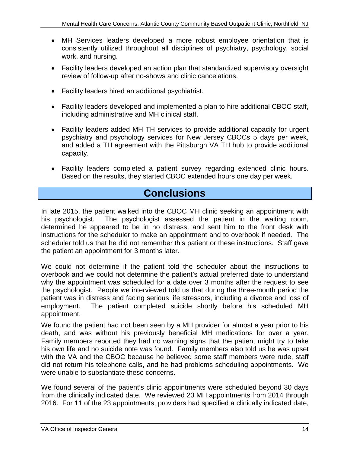- MH Services leaders developed a more robust employee orientation that is consistently utilized throughout all disciplines of psychiatry, psychology, social work, and nursing.
- Facility leaders developed an action plan that standardized supervisory oversight review of follow-up after no-shows and clinic cancelations.
- • Facility leaders hired an additional psychiatrist.
- Facility leaders developed and implemented a plan to hire additional CBOC staff, including administrative and MH clinical staff.
- psychiatry and psychology services for New Jersey CBOCs 5 days per week, and added a TH agreement with the Pittsburgh VA TH hub to provide additional • Facility leaders added MH TH services to provide additional capacity for urgent capacity.
- Facility leaders completed a patient survey regarding extended clinic hours. Based on the results, they started CBOC extended hours one day per week.

## **Conclusions**

 instructions for the scheduler to make an appointment and to overbook if needed. The the patient an appointment for 3 months later. In late 2015, the patient walked into the CBOC MH clinic seeking an appointment with his psychologist. The psychologist assessed the patient in the waiting room, determined he appeared to be in no distress, and sent him to the front desk with scheduler told us that he did not remember this patient or these instructions. Staff gave

the patient an appointment for 3 months later.<br>We could not determine if the patient told the scheduler about the instructions to patient was in distress and facing serious life stressors, including a divorce and loss of appointment. overbook and we could not determine the patient's actual preferred date to understand why the appointment was scheduled for a date over 3 months after the request to see the psychologist. People we interviewed told us that during the three-month period the employment. The patient completed suicide shortly before his scheduled MH

 death, and was without his previously beneficial MH medications for over a year. his own life and no suicide note was found. Family members also told us he was upset did not return his telephone calls, and he had problems scheduling appointments. We We found the patient had not been seen by a MH provider for almost a year prior to his Family members reported they had no warning signs that the patient might try to take with the VA and the CBOC because he believed some staff members were rude, staff were unable to substantiate these concerns.

 from the clinically indicated date. We reviewed 23 MH appointments from 2014 through We found several of the patient's clinic appointments were scheduled beyond 30 days 2016. For 11 of the 23 appointments, providers had specified a clinically indicated date,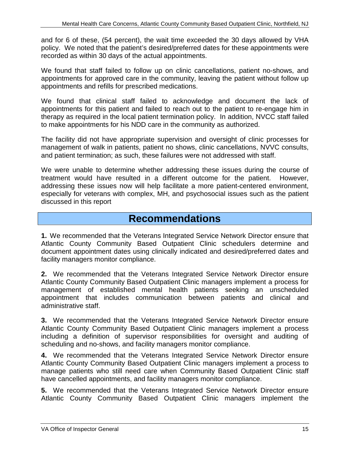policy. We noted that the patient's desired/preferred dates for these appointments were and for 6 of these, (54 percent), the wait time exceeded the 30 days allowed by VHA recorded as within 30 days of the actual appointments.

 appointments for approved care in the community, leaving the patient without follow up appointments and refills for prescribed medications. We found that staff failed to follow up on clinic cancellations, patient no-shows, and

 We found that clinical staff failed to acknowledge and document the lack of appointments for this patient and failed to reach out to the patient to re-engage him in to make appointments for his NDD care in the community as authorized. therapy as required in the local patient termination policy. In addition, NVCC staff failed

 and patient termination; as such, these failures were not addressed with staff. The facility did not have appropriate supervision and oversight of clinic processes for management of walk in patients, patient no shows, clinic cancellations, NVVC consults,

 treatment would have resulted in a different outcome for the patient. However, We were unable to determine whether addressing these issues during the course of addressing these issues now will help facilitate a more patient-centered environment, especially for veterans with complex, MH, and psychosocial issues such as the patient discussed in this report

### **Recommendations**

 **1.** We recommended that the Veterans Integrated Service Network Director ensure that document appointment dates using clinically indicated and desired/preferred dates and Atlantic County Community Based Outpatient Clinic schedulers determine and facility managers monitor compliance.

**2.** We recommended that the Veterans Integrated Service Network Director ensure Atlantic County Community Based Outpatient Clinic managers implement a process for management of established mental health patients seeking an unscheduled appointment that includes communication between patients and clinical and administrative staff.

 **3.** We recommended that the Veterans Integrated Service Network Director ensure Atlantic County Community Based Outpatient Clinic managers implement a process including a definition of supervisor responsibilities for oversight and auditing of scheduling and no-shows, and facility managers monitor compliance.

**4.** We recommended that the Veterans Integrated Service Network Director ensure Atlantic County Community Based Outpatient Clinic managers implement a process to manage patients who still need care when Community Based Outpatient Clinic staff have cancelled appointments, and facility managers monitor compliance.

**5.** We recommended that the Veterans Integrated Service Network Director ensure Atlantic County Community Based Outpatient Clinic managers implement the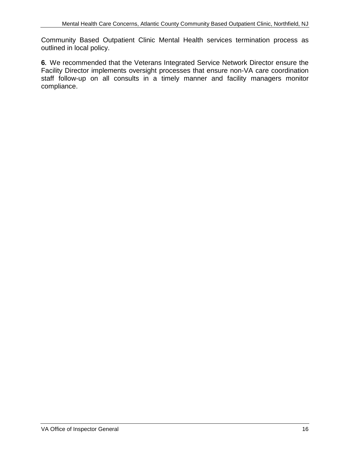Community Based Outpatient Clinic Mental Health services termination process as outlined in local policy.

 staff follow-up on all consults in a timely manner and facility managers monitor **6.** We recommended that the Veterans Integrated Service Network Director ensure the Facility Director implements oversight processes that ensure non-VA care coordination compliance.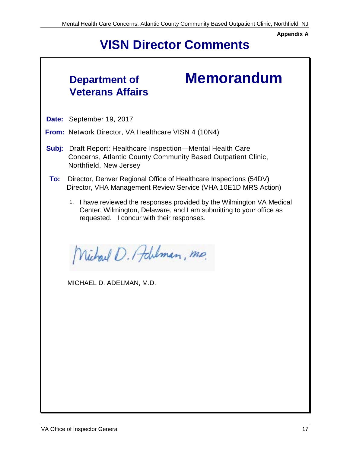**Appendix A** 

# **VISN Director Comments**

## **Department of Veterans Affairs**

# **Memorandum**

 **Date:** September 19, 2017

**From:** Network Director, VA Healthcare VISN 4 (10N4)

- **Subj:** Draft Report: Healthcare Inspection—Mental Health Care Concerns, Atlantic County Community Based Outpatient Clinic, Northfield, New Jersey
- **To:** Director, Denver Regional Office of Healthcare Inspections (54DV) Director, VHA Management Review Service (VHA 10E1D MRS Action)
	- 1. I have reviewed the responses provided by the Wilmington VA Medical requested. I concur with their responses. Center, Wilmington, Delaware, and I am submitting to your office as

Nichael D. Adulman, mp.

MICHAEL D. ADELMAN, M.D.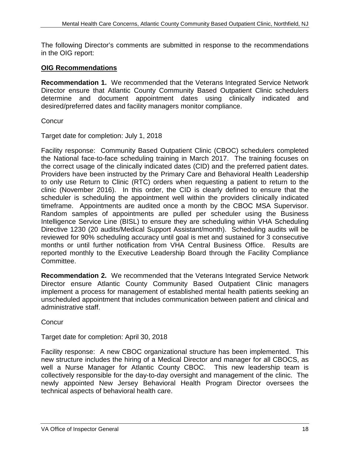The following Director's comments are submitted in response to the recommendations in the OIG report:

#### **OIG Recommendations**

 **Recommendation 1.** We recommended that the Veterans Integrated Service Network Director ensure that Atlantic County Community Based Outpatient Clinic schedulers determine and document appointment dates using clinically indicated and desired/preferred dates and facility managers monitor compliance.

**Concur** 

Target date for completion: July 1, 2018

 the National face-to-face scheduling training in March 2017. The training focuses on timeframe. Appointments are audited once a month by the CBOC MSA Supervisor. Directive 1230 (20 audits/Medical Support Assistant/month). Scheduling audits will be months or until further notification from VHA Central Business Office. Results are Facility response: Community Based Outpatient Clinic (CBOC) schedulers completed the correct usage of the clinically indicated dates (CID) and the preferred patient dates. Providers have been instructed by the Primary Care and Behavioral Health Leadership to only use Return to Clinic (RTC) orders when requesting a patient to return to the clinic (November 2016). In this order, the CID is clearly defined to ensure that the scheduler is scheduling the appointment well within the providers clinically indicated Random samples of appointments are pulled per scheduler using the Business Intelligence Service Line (BISL) to ensure they are scheduling within VHA Scheduling reviewed for 90% scheduling accuracy until goal is met and sustained for 3 consecutive reported monthly to the Executive Leadership Board through the Facility Compliance Committee.

 **Recommendation 2.** We recommended that the Veterans Integrated Service Network unscheduled appointment that includes communication between patient and clinical and Director ensure Atlantic County Community Based Outpatient Clinic managers implement a process for management of established mental health patients seeking an administrative staff.

**Concur** 

Target date for completion: April 30, 2018

 new structure includes the hiring of a Medical Director and manager for all CBOCS, as Facility response: A new CBOC organizational structure has been implemented. This well a Nurse Manager for Atlantic County CBOC. This new leadership team is collectively responsible for the day-to-day oversight and management of the clinic. The newly appointed New Jersey Behavioral Health Program Director oversees the technical aspects of behavioral health care.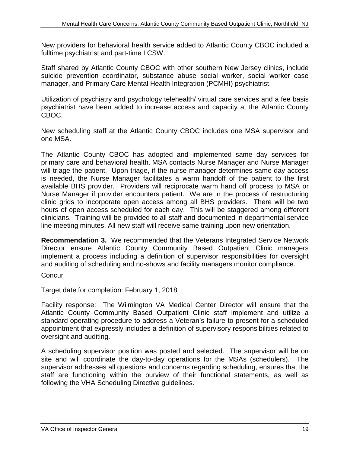New providers for behavioral health service added to Atlantic County CBOC included a fulltime psychiatrist and part-time LCSW.

Staff shared by Atlantic County CBOC with other southern New Jersey clinics, include suicide prevention coordinator, substance abuse social worker, social worker case manager, and Primary Care Mental Health Integration (PCMHI) psychiatrist.

Utilization of psychiatry and psychology telehealth/ virtual care services and a fee basis psychiatrist have been added to increase access and capacity at the Atlantic County CBOC.

 New scheduling staff at the Atlantic County CBOC includes one MSA supervisor and one MSA.

 is needed, the Nurse Manager facilitates a warm handoff of the patient to the first Nurse Manager if provider encounters patient. We are in the process of restructuring line meeting minutes. All new staff will receive same training upon new orientation. The Atlantic County CBOC has adopted and implemented same day services for primary care and behavioral health. MSA contacts Nurse Manager and Nurse Manager will triage the patient. Upon triage, if the nurse manager determines same day access available BHS provider. Providers will reciprocate warm hand off process to MSA or clinic grids to incorporate open access among all BHS providers. There will be two hours of open access scheduled for each day. This will be staggered among different clinicians. Training will be provided to all staff and documented in departmental service

 **Recommendation 3.** We recommended that the Veterans Integrated Service Network and auditing of scheduling and no-shows and facility managers monitor compliance. Director ensure Atlantic County Community Based Outpatient Clinic managers implement a process including a definition of supervisor responsibilities for oversight

**Concur** 

Target date for completion: February 1, 2018

Facility response: The Wilmington VA Medical Center Director will ensure that the Atlantic County Community Based Outpatient Clinic staff implement and utilize a standard operating procedure to address a Veteran's failure to present for a scheduled appointment that expressly includes a definition of supervisory responsibilities related to oversight and auditing.

 A scheduling supervisor position was posted and selected. The supervisor will be on site and will coordinate the day-to-day operations for the MSAs (schedulers). The supervisor addresses all questions and concerns regarding scheduling, ensures that the staff are functioning within the purview of their functional statements, as well as following the VHA Scheduling Directive guidelines.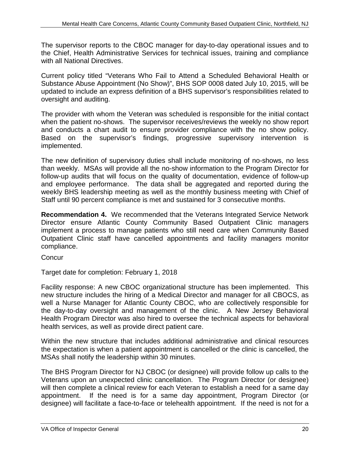The supervisor reports to the CBOC manager for day-to-day operational issues and to the Chief, Health Administrative Services for technical issues, training and compliance with all National Directives.

oversight and auditing. Current policy titled "Veterans Who Fail to Attend a Scheduled Behavioral Health or Substance Abuse Appointment (No Show)", BHS SOP 0008 dated July 10, 2015, will be updated to include an express definition of a BHS supervisor's responsibilities related to

 when the patient no-shows. The supervisor receives/reviews the weekly no show report The provider with whom the Veteran was scheduled is responsible for the initial contact and conducts a chart audit to ensure provider compliance with the no show policy. Based on the supervisor's findings, progressive supervisory intervention is implemented.

 than weekly. MSAs will provide all the no-show information to the Program Director for weekly BHS leadership meeting as well as the monthly business meeting with Chief of Staff until 90 percent compliance is met and sustained for 3 consecutive months. The new definition of supervisory duties shall include monitoring of no-shows, no less follow-up audits that will focus on the quality of documentation, evidence of follow-up and employee performance. The data shall be aggregated and reported during the

 **Recommendation 4.** We recommended that the Veterans Integrated Service Network Director ensure Atlantic County Community Based Outpatient Clinic managers implement a process to manage patients who still need care when Community Based Outpatient Clinic staff have cancelled appointments and facility managers monitor compliance.

**Concur** 

Target date for completion: February 1, 2018

 new structure includes the hiring of a Medical Director and manager for all CBOCS, as Health Program Director was also hired to oversee the technical aspects for behavioral Facility response: A new CBOC organizational structure has been implemented. This well a Nurse Manager for Atlantic County CBOC, who are collectively responsible for the day-to-day oversight and management of the clinic. A New Jersey Behavioral health services, as well as provide direct patient care.

 MSAs shall notify the leadership within 30 minutes. Within the new structure that includes additional administrative and clinical resources the expectation is when a patient appointment is cancelled or the clinic is cancelled, the

 Veterans upon an unexpected clinic cancellation. The Program Director (or designee) designee) will facilitate a face-to-face or telehealth appointment. If the need is not for a The BHS Program Director for NJ CBOC (or designee) will provide follow up calls to the will then complete a clinical review for each Veteran to establish a need for a same day appointment. If the need is for a same day appointment, Program Director (or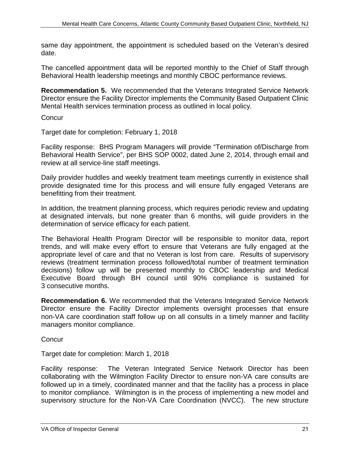same day appointment, the appointment is scheduled based on the Veteran's desired date.

 The cancelled appointment data will be reported monthly to the Chief of Staff through Behavioral Health leadership meetings and monthly CBOC performance reviews.

 **Recommendation 5.** We recommended that the Veterans Integrated Service Network Director ensure the Facility Director implements the Community Based Outpatient Clinic Mental Health services termination process as outlined in local policy.

**Concur** 

Target date for completion: February 1, 2018

 Facility response: BHS Program Managers will provide "Termination of/Discharge from Behavioral Health Service", per BHS SOP 0002, dated June 2, 2014, through email and review at all service-line staff meetings.

 Daily provider huddles and weekly treatment team meetings currently in existence shall provide designated time for this process and will ensure fully engaged Veterans are benefitting from their treatment.

In addition, the treatment planning process, which requires periodic review and updating at designated intervals, but none greater than 6 months, will guide providers in the determination of service efficacy for each patient.

 trends, and will make every effort to ensure that Veterans are fully engaged at the appropriate level of care and that no Veteran is lost from care. Results of supervisory Executive Board through BH council until 90% compliance is sustained for The Behavioral Health Program Director will be responsible to monitor data, report reviews (treatment termination process followed/total number of treatment termination decisions) follow up will be presented monthly to CBOC leadership and Medical 3 consecutive months.

 non-VA care coordination staff follow up on all consults in a timely manner and facility **Recommendation 6.** We recommended that the Veterans Integrated Service Network Director ensure the Facility Director implements oversight processes that ensure managers monitor compliance.

**Concur** 

Target date for completion: March 1, 2018

 Facility response: The Veteran Integrated Service Network Director has been collaborating with the Wilmington Facility Director to ensure non-VA care consults are followed up in a timely, coordinated manner and that the facility has a process in place supervisory structure for the Non-VA Care Coordination (NVCC). The new structure to monitor compliance. Wilmington is in the process of implementing a new model and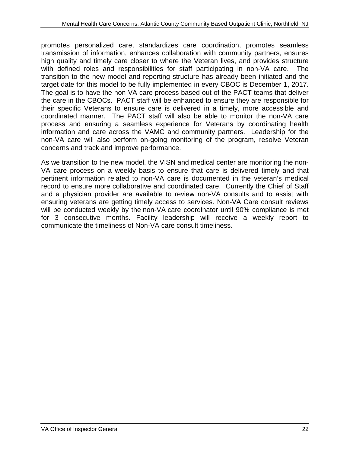transmission of information, enhances collaboration with community partners, ensures with defined roles and responsibilities for staff participating in non-VA care. The The goal is to have the non-VA care process based out of the PACT teams that deliver coordinated manner. The PACT staff will also be able to monitor the non-VA care information and care across the VAMC and community partners. Leadership for the concerns and track and improve performance. promotes personalized care, standardizes care coordination, promotes seamless high quality and timely care closer to where the Veteran lives, and provides structure transition to the new model and reporting structure has already been initiated and the target date for this model to be fully implemented in every CBOC is December 1, 2017. the care in the CBOCs. PACT staff will be enhanced to ensure they are responsible for their specific Veterans to ensure care is delivered in a timely, more accessible and process and ensuring a seamless experience for Veterans by coordinating health non-VA care will also perform on-going monitoring of the program, resolve Veteran

 record to ensure more collaborative and coordinated care. Currently the Chief of Staff will be conducted weekly by the non-VA care coordinator until 90% compliance is met communicate the timeliness of Non-VA care consult timeliness. As we transition to the new model, the VISN and medical center are monitoring the non-VA care process on a weekly basis to ensure that care is delivered timely and that pertinent information related to non-VA care is documented in the veteran's medical and a physician provider are available to review non-VA consults and to assist with ensuring veterans are getting timely access to services. Non-VA Care consult reviews for 3 consecutive months. Facility leadership will receive a weekly report to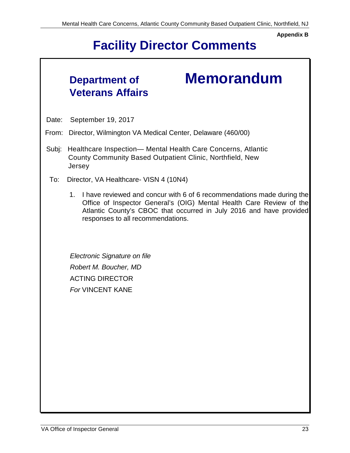**Appendix B** 

# **Facility Director Comments**

## **Department of Veterans Affairs**

# **Memorandum**

Date: September 19, 2017

From: Director, Wilmington VA Medical Center, Delaware (460/00)

- Subj: Healthcare Inspection— Mental Health Care Concerns, Atlantic County Community Based Outpatient Clinic, Northfield, New **Jersey**
- To: Director, VA Healthcare- VISN 4 (10N4)
	- 1. I have reviewed and concur with 6 of 6 recommendations made during the Office of Inspector General's (OIG) Mental Health Care Review of the Atlantic County's CBOC that occurred in July 2016 and have provided responses to all recommendations.

*Electronic Signature on file Robert M. Boucher, MD*  ACTING DIRECTOR *For* VINCENT KANE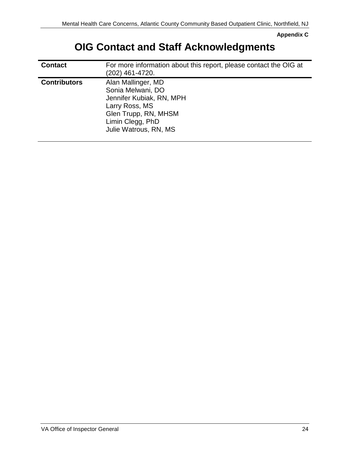**Appendix C** 

## **OIG Contact and Staff Acknowledgments**

| <b>Contact</b>      | For more information about this report, please contact the OIG at<br>(202) 461-4720.                                                                       |
|---------------------|------------------------------------------------------------------------------------------------------------------------------------------------------------|
| <b>Contributors</b> | Alan Mallinger, MD<br>Sonia Melwani, DO<br>Jennifer Kubiak, RN, MPH<br>Larry Ross, MS<br>Glen Trupp, RN, MHSM<br>Limin Clegg, PhD<br>Julie Watrous, RN, MS |